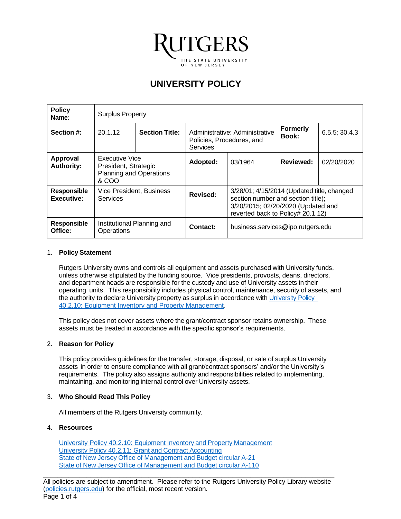

# **UNIVERSITY POLICY**

| <b>Policy</b><br>Name:               | <b>Surplus Property</b>                                                           |  |                                                                                |                                                                                                                                                             |                          |               |
|--------------------------------------|-----------------------------------------------------------------------------------|--|--------------------------------------------------------------------------------|-------------------------------------------------------------------------------------------------------------------------------------------------------------|--------------------------|---------------|
| Section #:                           | <b>Section Title:</b><br>20.1.12                                                  |  | Administrative: Administrative<br>Policies, Procedures, and<br><b>Services</b> |                                                                                                                                                             | <b>Formerly</b><br>Book: | 6.5.5; 30.4.3 |
| <b>Approval</b><br><b>Authority:</b> | Executive Vice<br>President, Strategic<br><b>Planning and Operations</b><br>& COO |  | Adopted:                                                                       | 03/1964                                                                                                                                                     | <b>Reviewed:</b>         | 02/20/2020    |
| <b>Responsible</b><br>Executive:     | <b>Vice President, Business</b><br>Services                                       |  | Revised:                                                                       | 3/28/01; 4/15/2014 (Updated title, changed<br>section number and section title);<br>3/20/2015; 02/20/2020 (Updated and<br>reverted back to Policy# 20.1.12) |                          |               |
| <b>Responsible</b><br>Office:        | Institutional Planning and<br>Operations                                          |  | Contact:                                                                       | business.services@ipo.rutgers.edu                                                                                                                           |                          |               |

## 1. **Policy Statement**

Rutgers University owns and controls all equipment and assets purchased with University funds, unless otherwise stipulated by the funding source. Vice presidents, provosts, deans, directors, and department heads are responsible for the custody and use of University assets in their operating units. This responsibility includes physical control, maintenance, security of assets, and the authority to declare University property as surplus in accordance with University Policy [40.2.10: Equipment Inventory and Property Management.](https://policies.rutgers.edu/40210-currentpdf)

This policy does not cover assets where the grant/contract sponsor retains ownership. These assets must be treated in accordance with the specific sponsor's requirements.

#### 2. **Reason for Policy**

This policy provides guidelines for the transfer, storage, disposal, or sale of surplus University assets in order to ensure compliance with all grant/contract sponsors' and/or the University's requirements. The policy also assigns authority and responsibilities related to implementing, maintaining, and monitoring internal control over University assets.

#### 3. **Who Should Read This Policy**

All members of the Rutgers University community.

#### 4. **Resources**

[University Policy 40.2.10: Equipment](https://policies.rutgers.edu/40210-currentpdf) Inventory and Property Management [University Policy 40.2.11: Grant](https://policies.rutgers.edu/40211-currentpdf) and Contract Accounting State of New Jersey Office of [Management](https://obamawhitehouse.archives.gov/omb/circulars_a021_2004/) and Budget circular A-21 State of New Jersey Office of [Management](https://obamawhitehouse.archives.gov/omb/fedreg_notice_a110) and Budget circular A-110

\_\_\_\_\_\_\_\_\_\_\_\_\_\_\_\_\_\_\_\_\_\_\_\_\_\_\_\_\_\_\_\_\_\_\_\_\_\_\_\_\_\_\_\_\_\_\_\_\_\_\_\_\_\_\_\_\_\_\_\_\_\_\_\_\_\_\_\_\_\_\_\_\_\_\_\_\_\_\_\_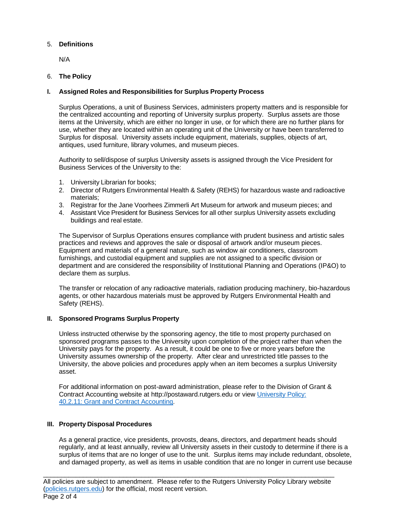# 5. **Definitions**

N/A

## 6. **The Policy**

## **I. Assigned Roles and Responsibilities for Surplus Property Process**

Surplus Operations, a unit of Business Services, administers property matters and is responsible for the centralized accounting and reporting of University surplus property. Surplus assets are those items at the University, which are either no longer in use, or for which there are no further plans for use, whether they are located within an operating unit of the University or have been transferred to Surplus for disposal. University assets include equipment, materials, supplies, objects of art, antiques, used furniture, library volumes, and museum pieces.

Authority to sell/dispose of surplus University assets is assigned through the Vice President for Business Services of the University to the:

- 1. University Librarian for books;
- 2. Director of Rutgers Environmental Health & Safety (REHS) for hazardous waste and radioactive materials;
- 3. Registrar for the Jane Voorhees Zimmerli Art Museum for artwork and museum pieces; and
- 4. Assistant Vice President for Business Services for all other surplus University assets excluding buildings and real estate.

The Supervisor of Surplus Operations ensures compliance with prudent business and artistic sales practices and reviews and approves the sale or disposal of artwork and/or museum pieces. Equipment and materials of a general nature, such as window air conditioners, classroom furnishings, and custodial equipment and supplies are not assigned to a specific division or department and are considered the responsibility of Institutional Planning and Operations (IP&O) to declare them as surplus.

The transfer or relocation of any radioactive materials, radiation producing machinery, bio-hazardous agents, or other hazardous materials must be approved by Rutgers Environmental Health and Safety (REHS).

#### **II. Sponsored Programs Surplus Property**

Unless instructed otherwise by the sponsoring agency, the title to most property purchased on sponsored programs passes to the University upon completion of the project rather than when the University pays for the property. As a result, it could be one to five or more years before the University assumes ownership of the property. After clear and unrestricted title passes to the University, the above policies and procedures apply when an item becomes a surplus University asset.

For additional information on post-award administration, please refer to the Division of Grant & Contract Accounting website at [http://postaward.rutgers.edu](http://postaward.rutgers.edu/) or view [University Policy:](https://policies.rutgers.edu/40211-currentpdf) [40.2.11: Grant and Contract Accounting.](https://policies.rutgers.edu/40211-currentpdf)

# **III. Property Disposal Procedures**

As a general practice, vice presidents, provosts, deans, directors, and department heads should regularly, and at least annually, review all University assets in their custody to determine if there is a surplus of items that are no longer of use to the unit. Surplus items may include redundant, obsolete, and damaged property, as well as items in usable condition that are no longer in current use because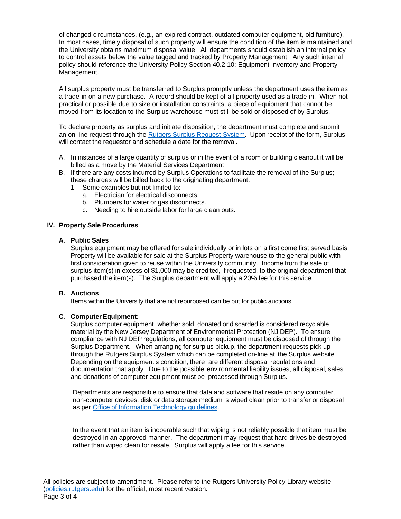of changed circumstances, (e.g., an expired contract, outdated computer equipment, old furniture). In most cases, timely disposal of such property will ensure the condition of the item is maintained and the University obtains maximum disposal value. All departments should establish an internal policy to control assets below the value tagged and tracked by Property Management. Any such internal policy should reference the University Policy Section 40.2.10: [Equipment Inventory and Property](https://policies.rutgers.edu/40210-currentpdf)  [Management.](https://policies.rutgers.edu/40210-currentpdf)

All surplus property must be transferred to Surplus promptly unless the department uses the item as a trade-in on a new purchase. A record should be kept of all property used as a trade-in. When not practical or possible due to size or installation constraints, a piece of equipment that cannot be moved from its location to the Surplus warehouse must still be sold or disposed of by Surplus.

To declare property as surplus and initiate disposition, the department must complete and submit an on-line request through the Rutgers Surplus [Request System.](https://ipo.rutgers.edu/bs/surplus-pickups) Upon receipt of the form, Surplus will contact the requestor and schedule a date for the removal.

- A. In instances of a large quantity of surplus or in the event of a room or building cleanout it will be billed as a move by the Material Services Department.
- B. If there are any costs incurred by Surplus Operations to facilitate the removal of the Surplus; these charges will be billed back to the originating department.
	- 1. Some examples but not limited to:
		- a. Electrician for electrical disconnects.
		- b. Plumbers for water or gas disconnects.
		- c. Needing to hire outside labor for large clean outs.

## **IV. Property Sale Procedures**

#### **A. Public Sales**

Surplus equipment may be offered for sale individually or in lots on a first come first served basis. Property will be available for sale at the Surplus Property warehouse to the general public with first consideration given to reuse within the University community. Income from the sale of surplus item(s) in excess of \$1,000 may be credited, if requested, to the original department that purchased the item(s). The Surplus department will apply a 20% fee for this service.

#### **B. Auctions**

Items within the University that are not repurposed can be put for public auctions.

# **C. ComputerEquipment:**

Surplus computer equipment, whether sold, donated or discarded is considered recyclable material by the New Jersey Department of Environmental Protection (NJ DEP). To ensure compliance with NJ DEP regulations, all computer equipment must be disposed of through the Surplus Department. When arranging for surplus pickup, the department requests pick up through the Rutgers Surplus System which can be completed on-line at the Surplus website [.](https://ipo.rutgers.edu/bs/surplus-pickups) Depending on the equipment's condition, there are different disposal regulations and documentation that apply. Due to the possible environmental liability issues, all disposal, sales and donations of computer equipment must be processed through Surplus.

Departments are responsible to ensure that data and software that reside on any computer, non-computer devices, disk or data storage medium is wiped clean prior to transfer or disposal as per Office of Information [Technology](https://rusecure.rutgers.edu/content/removing-data-discarded-computers-and-media-disk-wiping) guidelines.

In the event that an item is inoperable such that wiping is not reliably possible that item must be destroyed in an approved manner. The department may request that hard drives be destroyed rather than wiped clean for resale. Surplus will apply a fee for this service.